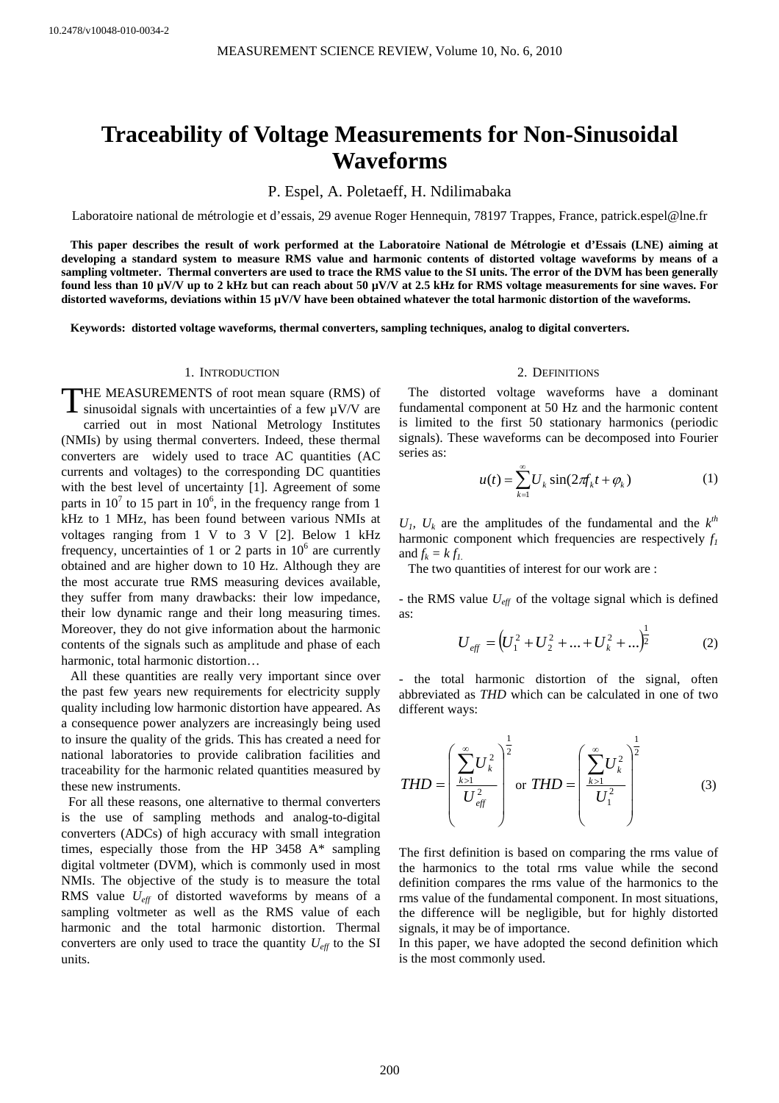# **Traceability of Voltage Measurements for Non-Sinusoidal Waveforms**

P. Espel, A. Poletaeff, H. Ndilimabaka

Laboratoire national de métrologie et d'essais, 29 avenue Roger Hennequin, 78197 Trappes, France, patrick.espel@lne.fr

**This paper describes the result of work performed at the Laboratoire National de Métrologie et d'Essais (LNE) aiming at developing a standard system to measure RMS value and harmonic contents of distorted voltage waveforms by means of a sampling voltmeter. Thermal converters are used to trace the RMS value to the SI units. The error of the DVM has been generally found less than 10 µV/V up to 2 kHz but can reach about 50 µV/V at 2.5 kHz for RMS voltage measurements for sine waves. For**  distorted waveforms, deviations within 15  $\mu$ V/V have been obtained whatever the total harmonic distortion of the waveforms.

**Keywords: distorted voltage waveforms, thermal converters, sampling techniques, analog to digital converters.** 

# 1. INTRODUCTION

THE MEASUREMENTS of root mean square (RMS) of THE MEASUREMENTS of root mean square (RMS) of sinusoidal signals with uncertainties of a few  $\mu$ V/V are carried out in most National Metrology Institutes (NMIs) by using thermal converters. Indeed, these thermal converters are widely used to trace AC quantities (AC currents and voltages) to the corresponding DC quantities with the best level of uncertainty [1]. Agreement of some parts in  $10^7$  to 15 part in  $10^6$ , in the frequency range from 1 kHz to 1 MHz, has been found between various NMIs at voltages ranging from 1 V to 3 V [2]. Below 1 kHz frequency, uncertainties of 1 or 2 parts in  $10^6$  are currently obtained and are higher down to 10 Hz. Although they are the most accurate true RMS measuring devices available, they suffer from many drawbacks: their low impedance, their low dynamic range and their long measuring times. Moreover, they do not give information about the harmonic contents of the signals such as amplitude and phase of each harmonic, total harmonic distortion…

All these quantities are really very important since over the past few years new requirements for electricity supply quality including low harmonic distortion have appeared. As a consequence power analyzers are increasingly being used to insure the quality of the grids. This has created a need for national laboratories to provide calibration facilities and traceability for the harmonic related quantities measured by these new instruments.

For all these reasons, one alternative to thermal converters is the use of sampling methods and analog-to-digital converters (ADCs) of high accuracy with small integration times, especially those from the HP 3458 A\* sampling digital voltmeter (DVM), which is commonly used in most NMIs. The objective of the study is to measure the total RMS value *Ueff* of distorted waveforms by means of a sampling voltmeter as well as the RMS value of each harmonic and the total harmonic distortion. Thermal converters are only used to trace the quantity  $U_{\text{eff}}$  to the SI units.

## 2. DEFINITIONS

The distorted voltage waveforms have a dominant fundamental component at 50 Hz and the harmonic content is limited to the first 50 stationary harmonics (periodic signals). These waveforms can be decomposed into Fourier series as:

$$
u(t) = \sum_{k=1}^{\infty} U_k \sin(2\pi f_k t + \varphi_k)
$$
 (1)

 $U_1$ ,  $U_k$  are the amplitudes of the fundamental and the  $k^{th}$ harmonic component which frequencies are respectively  $f_l$ and  $f_k = k f_l$ .

The two quantities of interest for our work are :

- the RMS value *Ueff* of the voltage signal which is defined as:

$$
U_{\text{eff}} = (U_1^2 + U_2^2 + \dots + U_k^2 + \dots)^{\frac{1}{2}}
$$
 (2)

- the total harmonic distortion of the signal, often abbreviated as *THD* which can be calculated in one of two different ways:

$$
THD = \left(\frac{\sum_{k>1}^{\infty} U_k^2}{U_{\text{eff}}^2}\right)^{\frac{1}{2}} \text{ or } THD = \left(\frac{\sum_{k>1}^{\infty} U_k^2}{U_1^2}\right)^{\frac{1}{2}} \tag{3}
$$

The first definition is based on comparing the rms value of the harmonics to the total rms value while the second definition compares the rms value of the harmonics to the rms value of the fundamental component. In most situations, the difference will be negligible, but for highly distorted signals, it may be of importance.

In this paper, we have adopted the second definition which is the most commonly used.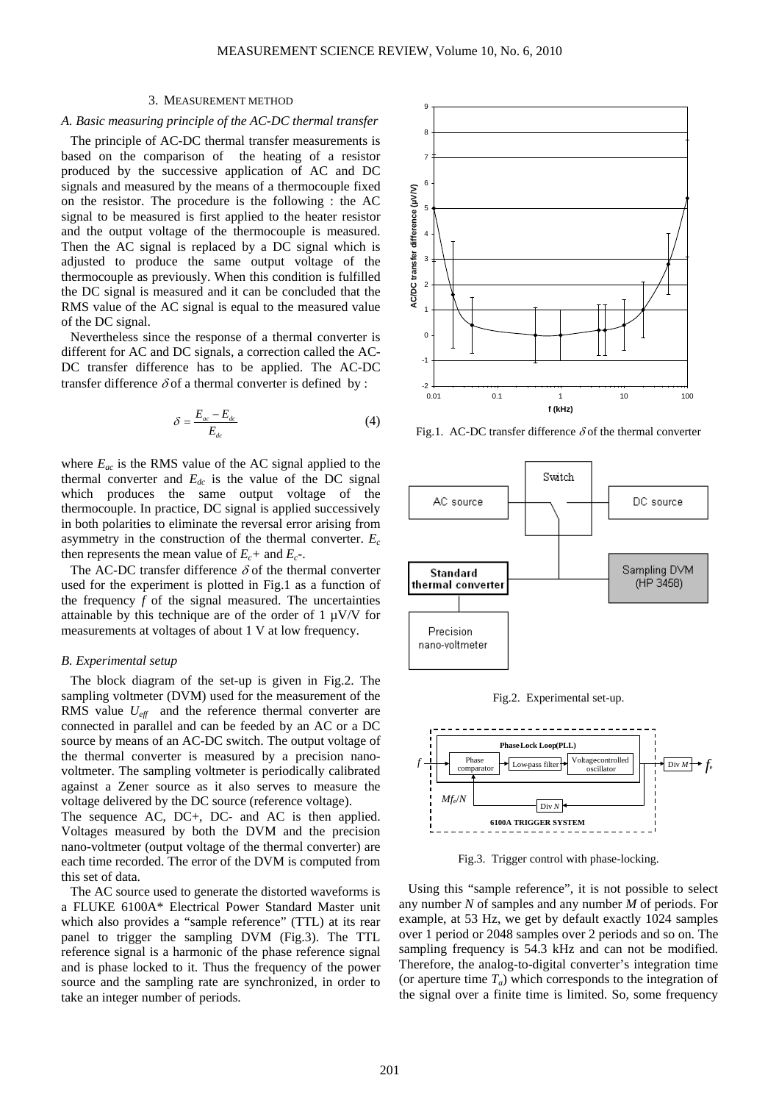## 3. MEASUREMENT METHOD

# *A. Basic measuring principle of the AC-DC thermal transfer*

The principle of AC-DC thermal transfer measurements is based on the comparison of the heating of a resistor produced by the successive application of AC and DC signals and measured by the means of a thermocouple fixed on the resistor. The procedure is the following : the AC signal to be measured is first applied to the heater resistor and the output voltage of the thermocouple is measured. Then the AC signal is replaced by a DC signal which is adjusted to produce the same output voltage of the thermocouple as previously. When this condition is fulfilled the DC signal is measured and it can be concluded that the RMS value of the AC signal is equal to the measured value of the DC signal.

Nevertheless since the response of a thermal converter is different for AC and DC signals, a correction called the AC-DC transfer difference has to be applied. The AC-DC transfer difference  $\delta$  of a thermal converter is defined by :

$$
\delta = \frac{E_{ac} - E_{dc}}{E_{dc}} \tag{4}
$$

where  $E_{ac}$  is the RMS value of the AC signal applied to the thermal converter and  $E_{dc}$  is the value of the DC signal which produces the same output voltage of the thermocouple. In practice, DC signal is applied successively in both polarities to eliminate the reversal error arising from asymmetry in the construction of the thermal converter.  $E_c$ then represents the mean value of  $E_c$ + and  $E_c$ -.

The AC-DC transfer difference  $\delta$  of the thermal converter used for the experiment is plotted in Fig.1 as a function of the frequency  $f$  of the signal measured. The uncertainties attainable by this technique are of the order of  $1 \mu V/V$  for measurements at voltages of about 1 V at low frequency.

#### *B. Experimental setup*

The block diagram of the set-up is given in Fig.2. The sampling voltmeter (DVM) used for the measurement of the RMS value  $U_{\text{eff}}$  and the reference thermal converter are connected in parallel and can be feeded by an AC or a DC source by means of an AC-DC switch. The output voltage of the thermal converter is measured by a precision nanovoltmeter. The sampling voltmeter is periodically calibrated against a Zener source as it also serves to measure the voltage delivered by the DC source (reference voltage).

The sequence AC, DC+, DC- and AC is then applied. Voltages measured by both the DVM and the precision nano-voltmeter (output voltage of the thermal converter) are each time recorded. The error of the DVM is computed from this set of data.

The AC source used to generate the distorted waveforms is a FLUKE 6100A\* Electrical Power Standard Master unit which also provides a "sample reference" (TTL) at its rear panel to trigger the sampling DVM (Fig.3). The TTL reference signal is a harmonic of the phase reference signal and is phase locked to it. Thus the frequency of the power source and the sampling rate are synchronized, in order to take an integer number of periods.



Fig.1. AC-DC transfer difference  $\delta$  of the thermal converter







Fig.3. Trigger control with phase-locking.

Using this "sample reference", it is not possible to select any number *N* of samples and any number *M* of periods. For example, at 53 Hz, we get by default exactly 1024 samples over 1 period or 2048 samples over 2 periods and so on. The sampling frequency is 54.3 kHz and can not be modified. Therefore, the analog-to-digital converter's integration time (or aperture time  $T_a$ ) which corresponds to the integration of the signal over a finite time is limited. So, some frequency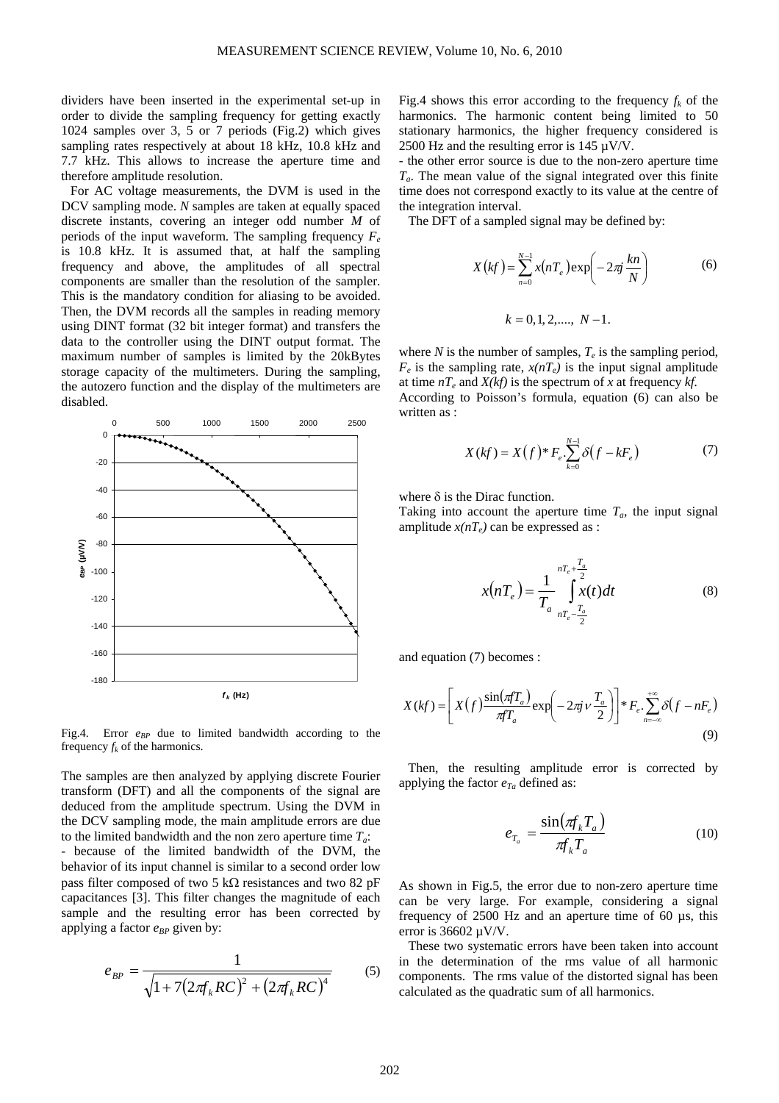dividers have been inserted in the experimental set-up in order to divide the sampling frequency for getting exactly 1024 samples over 3, 5 or 7 periods (Fig.2) which gives sampling rates respectively at about 18 kHz, 10.8 kHz and 7.7 kHz. This allows to increase the aperture time and therefore amplitude resolution.

For AC voltage measurements, the DVM is used in the DCV sampling mode. *N* samples are taken at equally spaced discrete instants, covering an integer odd number *M* of periods of the input waveform. The sampling frequency  $F_e$ is 10.8 kHz. It is assumed that, at half the sampling frequency and above, the amplitudes of all spectral components are smaller than the resolution of the sampler. This is the mandatory condition for aliasing to be avoided. Then, the DVM records all the samples in reading memory using DINT format (32 bit integer format) and transfers the data to the controller using the DINT output format. The maximum number of samples is limited by the 20kBytes storage capacity of the multimeters. During the sampling, the autozero function and the display of the multimeters are disabled.



Fig.4. Error  $e_{BP}$  due to limited bandwidth according to the frequency  $f_k$  of the harmonics.

The samples are then analyzed by applying discrete Fourier transform (DFT) and all the components of the signal are deduced from the amplitude spectrum. Using the DVM in the DCV sampling mode, the main amplitude errors are due to the limited bandwidth and the non zero aperture time  $T_a$ :

because of the limited bandwidth of the DVM, the behavior of its input channel is similar to a second order low pass filter composed of two 5 kΩ resistances and two 82 pF capacitances [3]. This filter changes the magnitude of each sample and the resulting error has been corrected by applying a factor  $e_{BP}$  given by:

$$
e_{BP} = \frac{1}{\sqrt{1 + 7(2\pi f_k RC)^2 + (2\pi f_k RC)^4}}
$$
(5)

Fig.4 shows this error according to the frequency  $f_k$  of the harmonics. The harmonic content being limited to 50 stationary harmonics, the higher frequency considered is 2500 Hz and the resulting error is  $145 \mu V/V$ .

- the other error source is due to the non-zero aperture time *Ta*. The mean value of the signal integrated over this finite time does not correspond exactly to its value at the centre of the integration interval.

The DFT of a sampled signal may be defined by:

$$
X(kf) = \sum_{n=0}^{N-1} x(nT_e) \exp\left(-2\pi j \frac{kn}{N}\right)
$$
(6)  

$$
k = 0, 1, 2, ..., N-1.
$$

where *N* is the number of samples,  $T_e$  is the sampling period,  $F_e$  is the sampling rate,  $x(nT_e)$  is the input signal amplitude at time  $nT_e$  and  $X(kf)$  is the spectrum of x at frequency kf.

According to Poisson's formula, equation (6) can also be written as :

$$
X(kf) = X(f)^{*} F_e \cdot \sum_{k=0}^{N-1} \delta(f - kF_e)
$$
 (7)

where  $\delta$  is the Dirac function.

Taking into account the aperture time  $T_a$ , the input signal amplitude  $x(nT_e)$  can be expressed as :

$$
x(nT_e) = \frac{1}{T_a} \int_{nT_e}^{nT_e + \frac{T_a}{2}} x(t) dt
$$
 (8)

and equation (7) becomes :

$$
X(kf) = \left[ X(f) \frac{\sin(\pi f T_a)}{\pi f T_a} \exp\left(-2\pi j v \frac{T_a}{2}\right) \right] * F_e \cdot \sum_{n=-\infty}^{+\infty} \delta(f - nF_e)
$$
\n(9)

Then, the resulting amplitude error is corrected by applying the factor  $e_{T_a}$  defined as:

$$
e_{T_a} = \frac{\sin(\pi f_k T_a)}{\pi f_k T_a} \tag{10}
$$

As shown in Fig.5, the error due to non-zero aperture time can be very large. For example, considering a signal frequency of  $2500$  Hz and an aperture time of 60  $\mu$ s, this error is 36602 µV/V.

These two systematic errors have been taken into account in the determination of the rms value of all harmonic components. The rms value of the distorted signal has been calculated as the quadratic sum of all harmonics.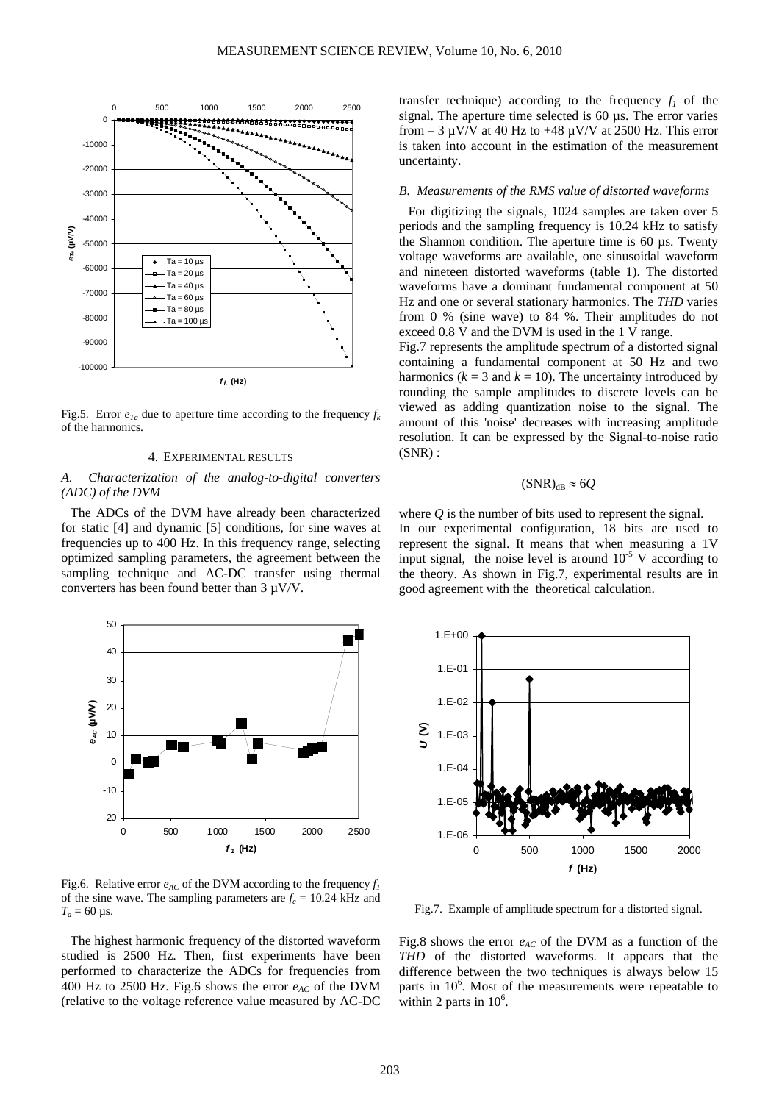

Fig.5. Error  $e_{Ta}$  due to aperture time according to the frequency  $f_k$ of the harmonics.

## 4. EXPERIMENTAL RESULTS

# *A. Characterization of the analog-to-digital converters (ADC) of the DVM*

The ADCs of the DVM have already been characterized for static [4] and dynamic [5] conditions, for sine waves at frequencies up to 400 Hz. In this frequency range, selecting optimized sampling parameters, the agreement between the sampling technique and AC-DC transfer using thermal converters has been found better than 3 µV/V.



Fig.6. Relative error  $e_{AC}$  of the DVM according to the frequency  $f_1$ of the sine wave. The sampling parameters are  $f_e = 10.24$  kHz and  $T_a = 60 \,\mu s$ .

The highest harmonic frequency of the distorted waveform studied is 2500 Hz. Then, first experiments have been performed to characterize the ADCs for frequencies from 400 Hz to 2500 Hz. Fig.6 shows the error  $e_{AC}$  of the DVM (relative to the voltage reference value measured by AC-DC transfer technique) according to the frequency  $f_1$  of the signal. The aperture time selected is 60 µs. The error varies from  $-3 \mu V/V$  at 40 Hz to  $+48 \mu V/V$  at 2500 Hz. This error is taken into account in the estimation of the measurement uncertainty.

# *B. Measurements of the RMS value of distorted waveforms*

For digitizing the signals, 1024 samples are taken over 5 periods and the sampling frequency is 10.24 kHz to satisfy the Shannon condition. The aperture time is  $60 \mu s$ . Twenty voltage waveforms are available, one sinusoidal waveform and nineteen distorted waveforms (table 1). The distorted waveforms have a dominant fundamental component at 50 Hz and one or several stationary harmonics. The *THD* varies from 0 % (sine wave) to 84 %. Their amplitudes do not exceed 0.8 V and the DVM is used in the 1 V range.

Fig.7 represents the amplitude spectrum of a distorted signal containing a fundamental component at 50 Hz and two harmonics ( $k = 3$  and  $k = 10$ ). The uncertainty introduced by rounding the sample amplitudes to discrete levels can be viewed as adding quantization noise to the signal. The amount of this 'noise' decreases with increasing amplitude resolution. It can be expressed by the Signal-to-noise ratio  $(SNR)$ :

# $(SNR)_{dR} \approx 6Q$

where *Q* is the number of bits used to represent the signal. In our experimental configuration, 18 bits are used to represent the signal. It means that when measuring a 1V input signal, the noise level is around  $10^{-5}$  V according to the theory. As shown in Fig.7, experimental results are in good agreement with the theoretical calculation.



Fig.7. Example of amplitude spectrum for a distorted signal.

Fig.8 shows the error  $e_{AC}$  of the DVM as a function of the within 2 parts in  $10^{\circ}$ . *THD* of the distorted waveforms. It appears that the difference between the two techniques is always below 15 parts in  $10^6$ . Most of the measurements were repeatable to within 2 parts in  $10^6$